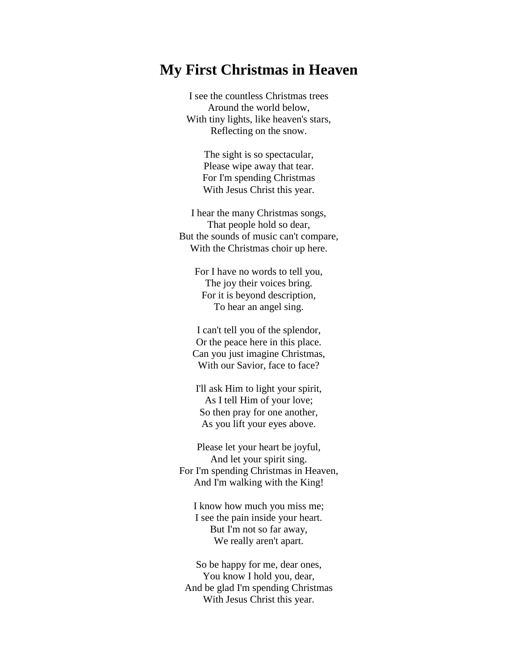## **My First Christmas in Heaven**

I see the countless Christmas trees Around the world below, With tiny lights, like heaven's stars, Reflecting on the snow.

> The sight is so spectacular, Please wipe away that tear. For I'm spending Christmas With Jesus Christ this year.

I hear the many Christmas songs, That people hold so dear, But the sounds of music can't compare, With the Christmas choir up here.

For I have no words to tell you, The joy their voices bring. For it is beyond description, To hear an angel sing.

I can't tell you of the splendor, Or the peace here in this place. Can you just imagine Christmas, With our Savior, face to face?

I'll ask Him to light your spirit, As I tell Him of your love; So then pray for one another, As you lift your eyes above.

Please let your heart be joyful, And let your spirit sing. For I'm spending Christmas in Heaven, And I'm walking with the King!

I know how much you miss me; I see the pain inside your heart. But I'm not so far away, We really aren't apart.

So be happy for me, dear ones, You know I hold you, dear, And be glad I'm spending Christmas With Jesus Christ this year.